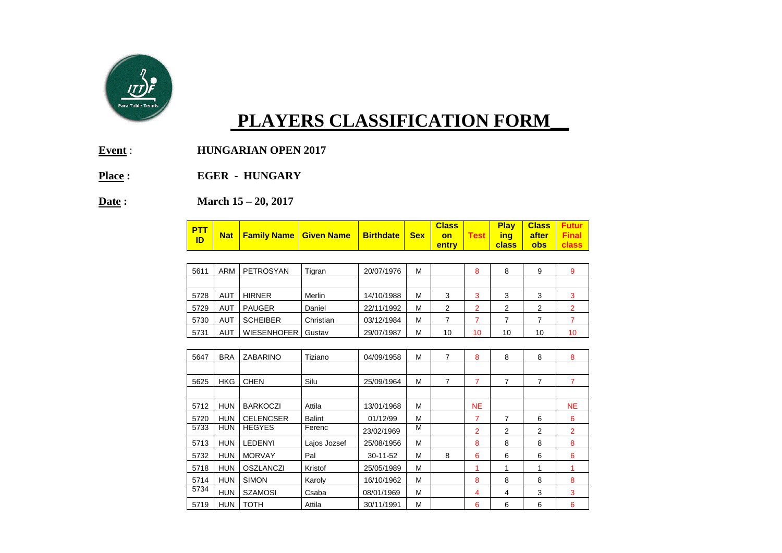

## **PLAYERS CLASSIFICATION FORM\_\_**

- **Event** : **HUNGARIAN OPEN 2017**
- **Place : EGER HUNGARY**

**Date : March 15 – 20, 2017**

| $\frac{PTT}{d}$ |  |  | Nat Family Name Given Name Birthdate Sex on Test ing after Final |  |  | <b>Class</b>  <br><u> entry rea</u> |  |  | <b>Play   Class   Futur  </b> |  |
|-----------------|--|--|------------------------------------------------------------------|--|--|-------------------------------------|--|--|-------------------------------|--|
|-----------------|--|--|------------------------------------------------------------------|--|--|-------------------------------------|--|--|-------------------------------|--|

| 5611 | ARM        | PETROSYAN          | Tigran    | 20/07/1976 | M |    | 8  | 8  |    |    |
|------|------------|--------------------|-----------|------------|---|----|----|----|----|----|
|      |            |                    |           |            |   |    |    |    |    |    |
| 5728 | AUT        | <b>HIRNER</b>      | Merlin    | 14/10/1988 | м | 3  | 3  |    | ◠  |    |
| 5729 | AUT        | <b>PAUGER</b>      | Daniel    | 22/11/1992 | м | 2  | ⌒  | ◠  | ⌒  |    |
| 5730 | <b>AUT</b> | <b>SCHEIBER</b>    | Christian | 03/12/1984 | м |    |    |    |    |    |
| 5731 | AUT        | <b>WIESENHOFER</b> | Gustav    | 29/07/1987 | м | 10 | 10 | 10 | 10 | 10 |

| 5647 | <b>BRA</b> | ZABARINO         | Tiziano       | 04/09/1958     | M | 7 | 8              | 8 | 8 | 8              |
|------|------------|------------------|---------------|----------------|---|---|----------------|---|---|----------------|
|      |            |                  |               |                |   |   |                |   |   |                |
| 5625 | <b>HKG</b> | <b>CHEN</b>      | Silu          | 25/09/1964     | M | 7 | 7              | 7 | 7 |                |
|      |            |                  |               |                |   |   |                |   |   |                |
| 5712 | <b>HUN</b> | <b>BARKOCZI</b>  | Attila        | 13/01/1968     | M |   | <b>NE</b>      |   |   | NE.            |
| 5720 | <b>HUN</b> | <b>CELENCSER</b> | <b>Balint</b> | 01/12/99       | M |   | 7              | 7 | 6 | 6              |
| 5733 | <b>HUN</b> | <b>HEGYES</b>    | Ferenc        | 23/02/1969     | M |   | $\overline{2}$ | 2 | 2 | $\overline{2}$ |
| 5713 | <b>HUN</b> | <b>LEDENYI</b>   | Lajos Jozsef  | 25/08/1956     | M |   | 8              | 8 | 8 | 8              |
| 5732 | <b>HUN</b> | <b>MORVAY</b>    | Pal           | $30 - 11 - 52$ | М | 8 | 6              | 6 | 6 | 6              |
| 5718 | <b>HUN</b> | <b>OSZLANCZI</b> | Kristof       | 25/05/1989     | M |   |                |   | 1 |                |
| 5714 | <b>HUN</b> | <b>SIMON</b>     | Karoly        | 16/10/1962     | M |   | 8              | 8 | 8 | 8              |
| 5734 | <b>HUN</b> | <b>SZAMOSI</b>   | Csaba         | 08/01/1969     | M |   | 4              | 4 | 3 | 3              |
| 5719 | <b>HUN</b> | <b>TOTH</b>      | Attila        | 30/11/1991     | M |   | 6              | 6 | 6 | 6              |